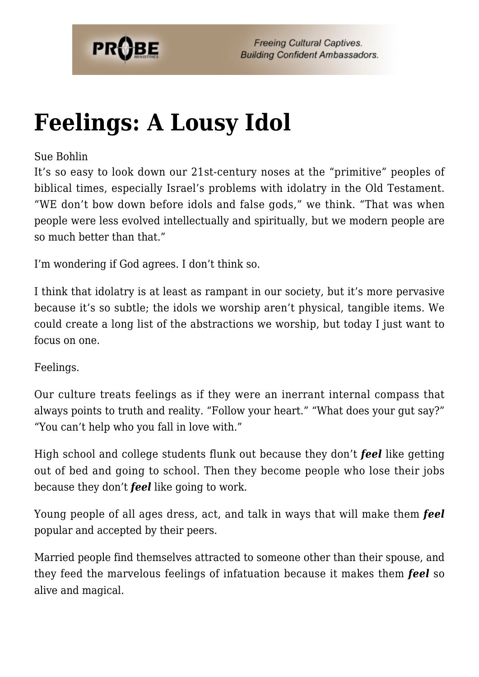

# **[Feelings: A Lousy Idol](https://probe.org/feelings-a-lousy-idol/)**

#### Sue Bohlin

It's so easy to look down our 21st-century noses at the "primitive" peoples of biblical times, especially Israel's problems with idolatry in the Old Testament. "WE don't bow down before idols and false gods," we think. "That was when people were less evolved intellectually and spiritually, but we modern people are so much better than that."

I'm wondering if God agrees. I don't think so.

I think that idolatry is at least as rampant in our society, but it's more pervasive because it's so subtle; the idols we worship aren't physical, tangible items. We could create a long list of the abstractions we worship, but today I just want to focus on one.

Feelings.

Our culture treats feelings as if they were an inerrant internal compass that always points to truth and reality. "Follow your heart." "What does your gut say?" "You can't help who you fall in love with."

High school and college students flunk out because they don't *feel* like getting out of bed and going to school. Then they become people who lose their jobs because they don't *feel* like going to work.

Young people of all ages dress, act, and talk in ways that will make them *feel* popular and accepted by their peers.

Married people find themselves attracted to someone other than their spouse, and they feed the marvelous feelings of infatuation because it makes them *feel* so alive and magical.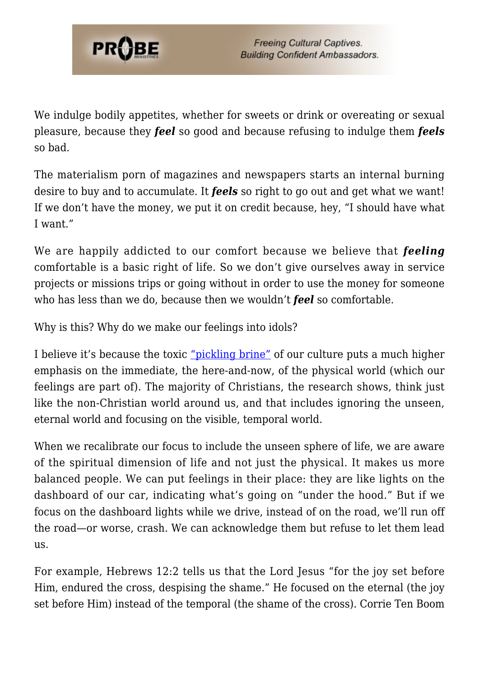

We indulge bodily appetites, whether for sweets or drink or overeating or sexual pleasure, because they *feel* so good and because refusing to indulge them *feels* so bad.

The materialism porn of magazines and newspapers starts an internal burning desire to buy and to accumulate. It *feels* so right to go out and get what we want! If we don't have the money, we put it on credit because, hey, "I should have what I want."

We are happily addicted to our comfort because we believe that *feeling* comfortable is a basic right of life. So we don't give ourselves away in service projects or missions trips or going without in order to use the money for someone who has less than we do, because then we wouldn't *feel* so comfortable.

Why is this? Why do we make our feelings into idols?

I believe it's because the toxic ["pickling brine"](https://probe.org/are-you-a-pickle/) of our culture puts a much higher emphasis on the immediate, the here-and-now, of the physical world (which our feelings are part of). The majority of Christians, the research shows, think just like the non-Christian world around us, and that includes ignoring the unseen, eternal world and focusing on the visible, temporal world.

When we recalibrate our focus to include the unseen sphere of life, we are aware of the spiritual dimension of life and not just the physical. It makes us more balanced people. We can put feelings in their place: they are like lights on the dashboard of our car, indicating what's going on "under the hood." But if we focus on the dashboard lights while we drive, instead of on the road, we'll run off the road—or worse, crash. We can acknowledge them but refuse to let them lead us.

For example, Hebrews 12:2 tells us that the Lord Jesus "for the joy set before Him, endured the cross, despising the shame." He focused on the eternal (the joy set before Him) instead of the temporal (the shame of the cross). Corrie Ten Boom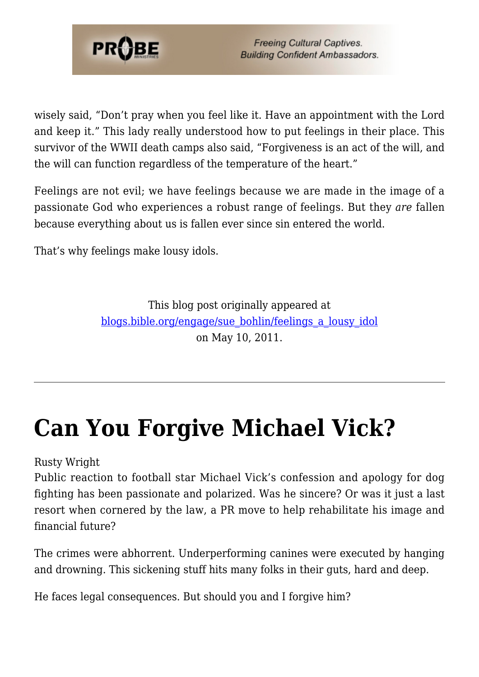

wisely said, "Don't pray when you feel like it. Have an appointment with the Lord and keep it." This lady really understood how to put feelings in their place. This survivor of the WWII death camps also said, "Forgiveness is an act of the will, and the will can function regardless of the temperature of the heart."

Feelings are not evil; we have feelings because we are made in the image of a passionate God who experiences a robust range of feelings. But they *are* fallen because everything about us is fallen ever since sin entered the world.

That's why feelings make lousy idols.

This blog post originally appeared at [blogs.bible.org/engage/sue\\_bohlin/feelings\\_a\\_lousy\\_idol](http://blogs.bible.org/engage/sue_bohlin/feelings_a_lousy_idol) on May 10, 2011.

# **[Can You Forgive Michael Vick?](https://probe.org/can-you-forgive-michael-vick/)**

Rusty Wright

Public reaction to football star Michael Vick's confession and apology for dog fighting has been passionate and polarized. Was he sincere? Or was it just a last resort when cornered by the law, a PR move to help rehabilitate his image and financial future?

The crimes were abhorrent. Underperforming canines were executed by hanging and drowning. This sickening stuff hits many folks in their guts, hard and deep.

He faces legal consequences. But should you and I forgive him?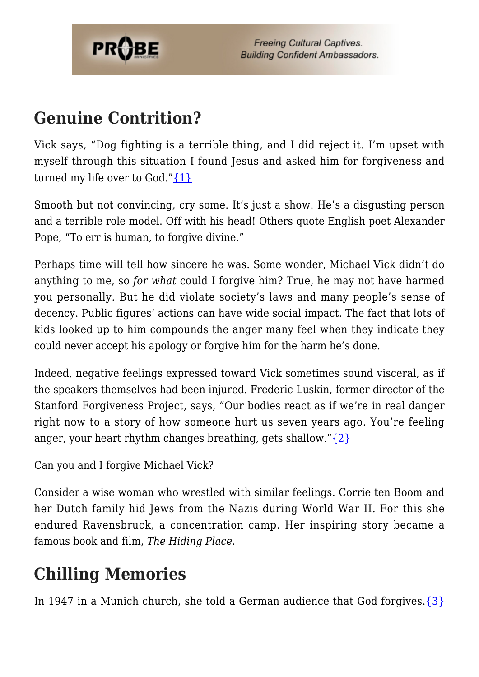

### **Genuine Contrition?**

Vick says, "Dog fighting is a terrible thing, and I did reject it. I'm upset with myself through this situation I found Jesus and asked him for forgiveness and turned my life over to God." $\{1\}$ 

Smooth but not convincing, cry some. It's just a show. He's a disgusting person and a terrible role model. Off with his head! Others quote English poet Alexander Pope, "To err is human, to forgive divine."

Perhaps time will tell how sincere he was. Some wonder, Michael Vick didn't do anything to me, so *for what* could I forgive him? True, he may not have harmed you personally. But he did violate society's laws and many people's sense of decency. Public figures' actions can have wide social impact. The fact that lots of kids looked up to him compounds the anger many feel when they indicate they could never accept his apology or forgive him for the harm he's done.

Indeed, negative feelings expressed toward Vick sometimes sound visceral, as if the speakers themselves had been injured. Frederic Luskin, former director of the Stanford Forgiveness Project, says, "Our bodies react as if we're in real danger right now to a story of how someone hurt us seven years ago. You're feeling anger, your heart rhythm changes breathing, gets shallow." $\{2\}$ 

```
Can you and I forgive Michael Vick?
```
Consider a wise woman who wrestled with similar feelings. Corrie ten Boom and her Dutch family hid Jews from the Nazis during World War II. For this she endured Ravensbruck, a concentration camp. Her inspiring story became a famous book and film, *The Hiding Place*.

## **Chilling Memories**

In 1947 in a Munich church, she told a German audience that God forgives. $\{3\}$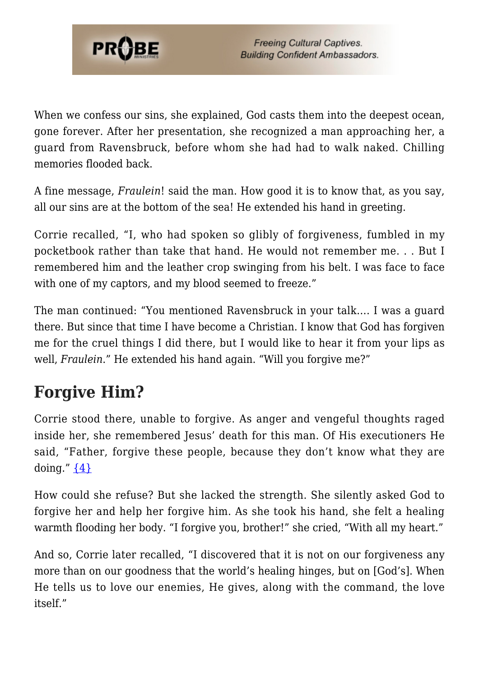

When we confess our sins, she explained. God casts them into the deepest ocean, gone forever. After her presentation, she recognized a man approaching her, a guard from Ravensbruck, before whom she had had to walk naked. Chilling memories flooded back.

A fine message, *Fraulein*! said the man. How good it is to know that, as you say, all our sins are at the bottom of the sea! He extended his hand in greeting.

Corrie recalled, "I, who had spoken so glibly of forgiveness, fumbled in my pocketbook rather than take that hand. He would not remember me. . . But I remembered him and the leather crop swinging from his belt. I was face to face with one of my captors, and my blood seemed to freeze."

The man continued: "You mentioned Ravensbruck in your talk…. I was a guard there. But since that time I have become a Christian. I know that God has forgiven me for the cruel things I did there, but I would like to hear it from your lips as well, *Fraulein*." He extended his hand again. "Will you forgive me?"

## **Forgive Him?**

Corrie stood there, unable to forgive. As anger and vengeful thoughts raged inside her, she remembered Jesus' death for this man. Of His executioners He said, "Father, forgive these people, because they don't know what they are doing."  $\{4\}$ 

How could she refuse? But she lacked the strength. She silently asked God to forgive her and help her forgive him. As she took his hand, she felt a healing warmth flooding her body. "I forgive you, brother!" she cried, "With all my heart."

And so, Corrie later recalled, "I discovered that it is not on our forgiveness any more than on our goodness that the world's healing hinges, but on [God's]. When He tells us to love our enemies, He gives, along with the command, the love itself."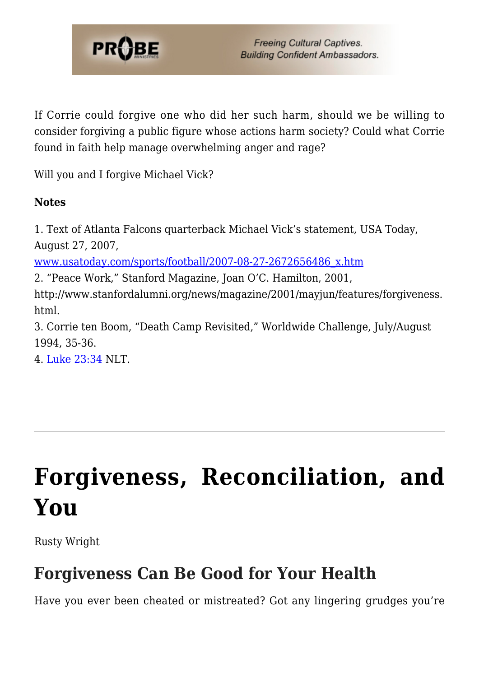

If Corrie could forgive one who did her such harm, should we be willing to consider forgiving a public figure whose actions harm society? Could what Corrie found in faith help manage overwhelming anger and rage?

Will you and I forgive Michael Vick?

#### **Notes**

1. Text of Atlanta Falcons quarterback Michael Vick's statement, USA Today, August 27, 2007,

[www.usatoday.com/sports/football/2007-08-27-2672656486\\_x.htm](http://www.usatoday.com/sports/football/2007-08-27-2672656486_x.htm)

2. "Peace Work," Stanford Magazine, Joan O'C. Hamilton, 2001,

http://www.stanfordalumni.org/news/magazine/2001/mayjun/features/forgiveness. html.

3. Corrie ten Boom, "Death Camp Revisited," Worldwide Challenge, July/August 1994, 35-36.

4. [Luke 23:34](http://www.biblegateway.com/passage/?search=Luke%2023:34&version=51) NLT.

# **[Forgiveness, Reconciliation, and](https://probe.org/forgiveness-reconciliation-and-you/) [You](https://probe.org/forgiveness-reconciliation-and-you/)**

Rusty Wright

## **Forgiveness Can Be Good for Your Health**

Have you ever been cheated or mistreated? Got any lingering grudges you're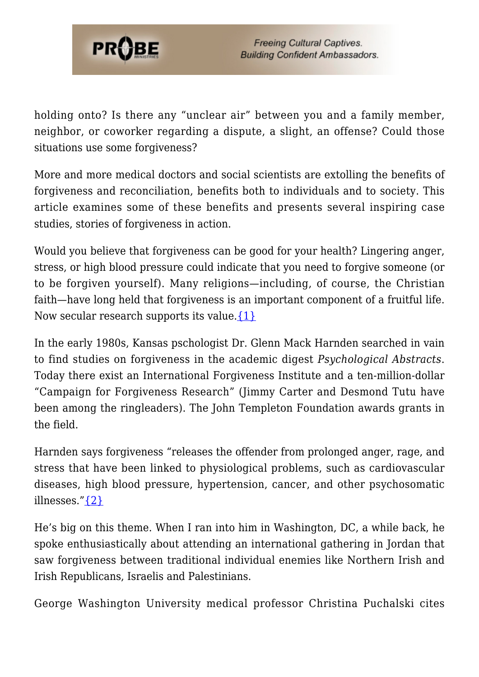

holding onto? Is there any "unclear air" between you and a family member, neighbor, or coworker regarding a dispute, a slight, an offense? Could those situations use some forgiveness?

More and more medical doctors and social scientists are extolling the benefits of forgiveness and reconciliation, benefits both to individuals and to society. This article examines some of these benefits and presents several inspiring case studies, stories of forgiveness in action.

Would you believe that forgiveness can be good for your health? Lingering anger, stress, or high blood pressure could indicate that you need to forgive someone (or to be forgiven yourself). Many religions—including, of course, the Christian faith—have long held that forgiveness is an important component of a fruitful life. Now secular research supports its value. $\{1\}$ 

In the early 1980s, Kansas pschologist Dr. Glenn Mack Harnden searched in vain to find studies on forgiveness in the academic digest *Psychological Abstracts*. Today there exist an International Forgiveness Institute and a ten-million-dollar "Campaign for Forgiveness Research" (Jimmy Carter and Desmond Tutu have been among the ringleaders). The John Templeton Foundation awards grants in the field.

Harnden says forgiveness "releases the offender from prolonged anger, rage, and stress that have been linked to physiological problems, such as cardiovascular diseases, high blood pressure, hypertension, cancer, and other psychosomatic illnesses." $\{2\}$ 

He's big on this theme. When I ran into him in Washington, DC, a while back, he spoke enthusiastically about attending an international gathering in Jordan that saw forgiveness between traditional individual enemies like Northern Irish and Irish Republicans, Israelis and Palestinians.

George Washington University medical professor Christina Puchalski cites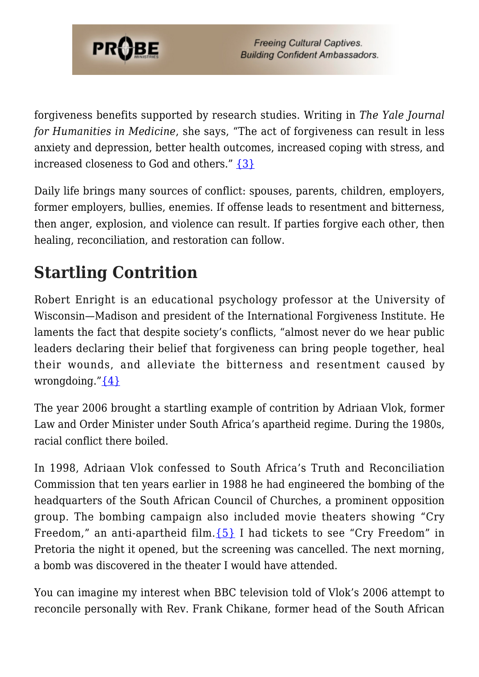

forgiveness benefits supported by research studies. Writing in *The Yale Journal for Humanities in Medicine*, she says, "The act of forgiveness can result in less anxiety and depression, better health outcomes, increased coping with stress, and increased closeness to God and others." [{3}](#page-12-2)

Daily life brings many sources of conflict: spouses, parents, children, employers, former employers, bullies, enemies. If offense leads to resentment and bitterness, then anger, explosion, and violence can result. If parties forgive each other, then healing, reconciliation, and restoration can follow.

## **Startling Contrition**

Robert Enright is an educational psychology professor at the University of Wisconsin—Madison and president of the International Forgiveness Institute. He laments the fact that despite society's conflicts, "almost never do we hear public leaders declaring their belief that forgiveness can bring people together, heal their wounds, and alleviate the bitterness and resentment caused by wrongdoing." $\{4\}$ 

The year 2006 brought a startling example of contrition by Adriaan Vlok, former Law and Order Minister under South Africa's apartheid regime. During the 1980s, racial conflict there boiled.

In 1998, Adriaan Vlok confessed to South Africa's Truth and Reconciliation Commission that ten years earlier in 1988 he had engineered the bombing of the headquarters of the South African Council of Churches, a prominent opposition group. The bombing campaign also included movie theaters showing "Cry Freedom," an anti-apartheid film.  ${5}$  I had tickets to see "Cry Freedom" in Pretoria the night it opened, but the screening was cancelled. The next morning, a bomb was discovered in the theater I would have attended.

You can imagine my interest when BBC television told of Vlok's 2006 attempt to reconcile personally with Rev. Frank Chikane, former head of the South African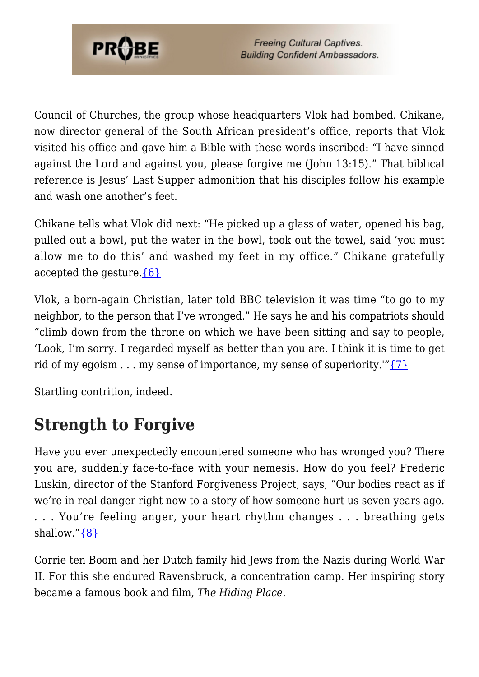

Council of Churches, the group whose headquarters Vlok had bombed. Chikane, now director general of the South African president's office, reports that Vlok visited his office and gave him a Bible with these words inscribed: "I have sinned against the Lord and against you, please forgive me (John 13:15)." That biblical reference is Jesus' Last Supper admonition that his disciples follow his example and wash one another's feet.

Chikane tells what Vlok did next: "He picked up a glass of water, opened his bag, pulled out a bowl, put the water in the bowl, took out the towel, said 'you must allow me to do this' and washed my feet in my office." Chikane gratefully accepted the gesture. ${6}$ 

Vlok, a born-again Christian, later told BBC television it was time "to go to my neighbor, to the person that I've wronged." He says he and his compatriots should "climb down from the throne on which we have been sitting and say to people, 'Look, I'm sorry. I regarded myself as better than you are. I think it is time to get rid of my egoism  $\dots$  my sense of importance, my sense of superiority." $\{7\}$ 

Startling contrition, indeed.

### **Strength to Forgive**

Have you ever unexpectedly encountered someone who has wronged you? There you are, suddenly face-to-face with your nemesis. How do you feel? Frederic Luskin, director of the Stanford Forgiveness Project, says, "Our bodies react as if we're in real danger right now to a story of how someone hurt us seven years ago. . . . You're feeling anger, your heart rhythm changes . . . breathing gets shallow." $\{8\}$ 

Corrie ten Boom and her Dutch family hid Jews from the Nazis during World War II. For this she endured Ravensbruck, a concentration camp. Her inspiring story became a famous book and film, *The Hiding Place*.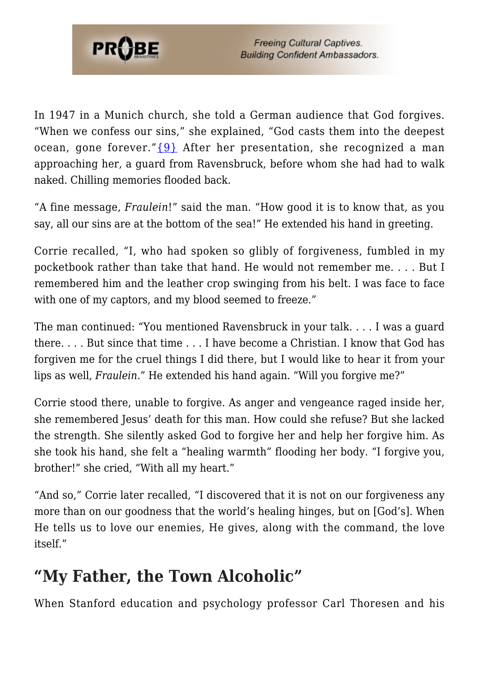

In 1947 in a Munich church, she told a German audience that God forgives. "When we confess our sins," she explained, "God casts them into the deepest ocean, gone forever." ${9}$  After her presentation, she recognized a man approaching her, a guard from Ravensbruck, before whom she had had to walk naked. Chilling memories flooded back.

"A fine message, *Fraulein*!" said the man. "How good it is to know that, as you say, all our sins are at the bottom of the sea!" He extended his hand in greeting.

Corrie recalled, "I, who had spoken so glibly of forgiveness, fumbled in my pocketbook rather than take that hand. He would not remember me. . . . But I remembered him and the leather crop swinging from his belt. I was face to face with one of my captors, and my blood seemed to freeze."

The man continued: "You mentioned Ravensbruck in your talk. . . . I was a guard there. . . . But since that time . . . I have become a Christian. I know that God has forgiven me for the cruel things I did there, but I would like to hear it from your lips as well, *Fraulein*." He extended his hand again. "Will you forgive me?"

Corrie stood there, unable to forgive. As anger and vengeance raged inside her, she remembered Jesus' death for this man. How could she refuse? But she lacked the strength. She silently asked God to forgive her and help her forgive him. As she took his hand, she felt a "healing warmth" flooding her body. "I forgive you, brother!" she cried, "With all my heart."

"And so," Corrie later recalled, "I discovered that it is not on our forgiveness any more than on our goodness that the world's healing hinges, but on [God's]. When He tells us to love our enemies, He gives, along with the command, the love itself."

### **"My Father, the Town Alcoholic"**

When Stanford education and psychology professor Carl Thoresen and his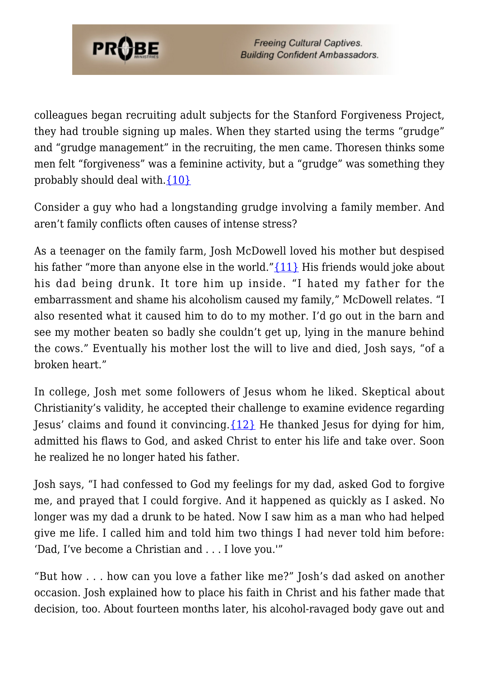

colleagues began recruiting adult subjects for the Stanford Forgiveness Project, they had trouble signing up males. When they started using the terms "grudge" and "grudge management" in the recruiting, the men came. Thoresen thinks some men felt "forgiveness" was a feminine activity, but a "grudge" was something they probably should deal with[.{10}](#page-13-3)

Consider a guy who had a longstanding grudge involving a family member. And aren't family conflicts often causes of intense stress?

As a teenager on the family farm, Josh McDowell loved his mother but despised his father "more than anyone else in the world." [{11}](#page-13-4) His friends would joke about his dad being drunk. It tore him up inside. "I hated my father for the embarrassment and shame his alcoholism caused my family," McDowell relates. "I also resented what it caused him to do to my mother. I'd go out in the barn and see my mother beaten so badly she couldn't get up, lying in the manure behind the cows." Eventually his mother lost the will to live and died, Josh says, "of a broken heart."

In college, Josh met some followers of Jesus whom he liked. Skeptical about Christianity's validity, he accepted their challenge to examine evidence regarding Jesus' claims and found it convincing.  $\{12\}$  He thanked Jesus for dying for him, admitted his flaws to God, and asked Christ to enter his life and take over. Soon he realized he no longer hated his father.

Josh says, "I had confessed to God my feelings for my dad, asked God to forgive me, and prayed that I could forgive. And it happened as quickly as I asked. No longer was my dad a drunk to be hated. Now I saw him as a man who had helped give me life. I called him and told him two things I had never told him before: 'Dad, I've become a Christian and . . . I love you.'"

"But how . . . how can you love a father like me?" Josh's dad asked on another occasion. Josh explained how to place his faith in Christ and his father made that decision, too. About fourteen months later, his alcohol-ravaged body gave out and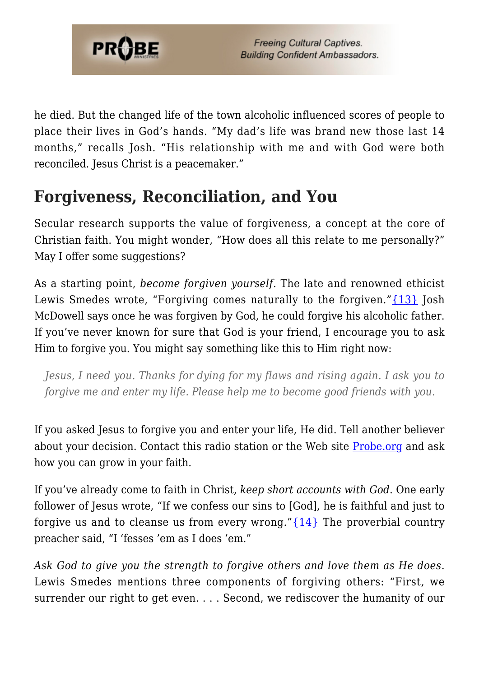

he died. But the changed life of the town alcoholic influenced scores of people to place their lives in God's hands. "My dad's life was brand new those last 14 months," recalls Josh. "His relationship with me and with God were both reconciled. Jesus Christ is a peacemaker."

### **Forgiveness, Reconciliation, and You**

Secular research supports the value of forgiveness, a concept at the core of Christian faith. You might wonder, "How does all this relate to me personally?" May I offer some suggestions?

As a starting point, *become forgiven yourself.* The late and renowned ethicist Lewis Smedes wrote, "Forgiving comes naturally to the forgiven." [{13}](#page-13-6) Josh McDowell says once he was forgiven by God, he could forgive his alcoholic father. If you've never known for sure that God is your friend, I encourage you to ask Him to forgive you. You might say something like this to Him right now:

*Jesus, I need you. Thanks for dying for my flaws and rising again. I ask you to forgive me and enter my life. Please help me to become good friends with you.*

If you asked Jesus to forgive you and enter your life, He did. Tell another believer about your decision. Contact this radio station or the Web site [Probe.org](https://www.probe.org/contact/) and ask how you can grow in your faith.

If you've already come to faith in Christ, *keep short accounts with God*. One early follower of Jesus wrote, "If we confess our sins to [God], he is faithful and just to forgive us and to cleanse us from every wrong." $\{14\}$  The proverbial country preacher said, "I 'fesses 'em as I does 'em."

*Ask God to give you the strength to forgive others and love them as He does*. Lewis Smedes mentions three components of forgiving others: "First, we surrender our right to get even. . . . Second, we rediscover the humanity of our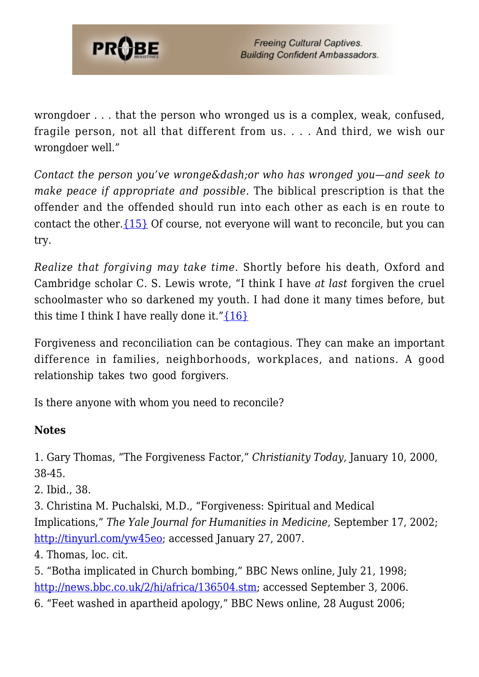

wrongdoer . . . that the person who wronged us is a complex, weak, confused, fragile person, not all that different from us. . . . And third, we wish our wrongdoer well."

*Contact the person you've wronge‐ or who has wronged you—and seek to make peace if appropriate and possible.* The biblical prescription is that the offender and the offended should run into each other as each is en route to contact the other.  $\{15\}$  Of course, not everyone will want to reconcile, but you can try.

*Realize that forgiving may take time.* Shortly before his death, Oxford and Cambridge scholar C. S. Lewis wrote, "I think I have *at last* forgiven the cruel schoolmaster who so darkened my youth. I had done it many times before, but this time I think I have really done it." $\{16\}$ 

Forgiveness and reconciliation can be contagious. They can make an important difference in families, neighborhoods, workplaces, and nations. A good relationship takes two good forgivers.

Is there anyone with whom you need to reconcile?

#### **Notes**

<span id="page-12-0"></span>1. Gary Thomas, "The Forgiveness Factor," *Christianity Today,* January 10, 2000, 38-45.

<span id="page-12-1"></span>2. Ibid., 38.

<span id="page-12-2"></span>3. Christina M. Puchalski, M.D., "Forgiveness: Spiritual and Medical Implications," *The Yale Journal for Humanities in Medicine,* September 17, 2002; [http://tinyurl.com/yw45eo;](http://info.med.yale.edu/intmed/hummed/yjhm/archives/spirit2003/forgiveness/cpuchalski.htm) accessed January 27, 2007.

<span id="page-12-3"></span>4. Thomas, loc. cit.

<span id="page-12-5"></span><span id="page-12-4"></span>5. "Botha implicated in Church bombing," BBC News online, July 21, 1998; <http://news.bbc.co.uk/2/hi/africa/136504.stm>; accessed September 3, 2006. 6. "Feet washed in apartheid apology," BBC News online, 28 August 2006;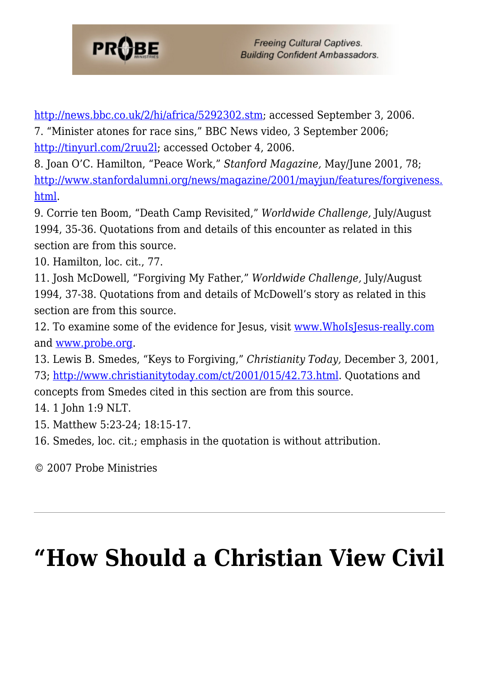

<span id="page-13-0"></span>[http://news.bbc.co.uk/2/hi/africa/5292302.stm;](http://news.bbc.co.uk/2/hi/africa/5292302.stm) accessed September 3, 2006. 7. "Minister atones for race sins," BBC News video, 3 September 2006; [http://tinyurl.com/2ruu2l;](http://search.bbc.co.uk/cgi-bin/search/results.pl?scope=all&edition=i&q=Adriaan+Vlok&go.x=0&go.y=0) accessed October 4, 2006.

<span id="page-13-1"></span>8. Joan O'C. Hamilton, "Peace Work," *Stanford Magazine,* May/June 2001, 78; [http://www.stanfordalumni.org/news/magazine/2001/mayjun/features/forgiveness.](http://www.stanfordalumni.org/news/magazine/2001/mayjun/features/forgiveness.html) [html.](http://www.stanfordalumni.org/news/magazine/2001/mayjun/features/forgiveness.html)

<span id="page-13-2"></span>9. Corrie ten Boom, "Death Camp Revisited," *Worldwide Challenge,* July/August 1994, 35-36. Quotations from and details of this encounter as related in this section are from this source.

<span id="page-13-3"></span>10. Hamilton, loc. cit., 77.

<span id="page-13-4"></span>11. Josh McDowell, "Forgiving My Father," *Worldwide Challenge,* July/August 1994, 37-38. Quotations from and details of McDowell's story as related in this section are from this source.

<span id="page-13-5"></span>12. To examine some of the evidence for Jesus, visit [www.WhoIsJesus-really.com](http://www.whoisjesus-really.com) and [www.probe.org.](http://www.probe.org)

<span id="page-13-6"></span>13. Lewis B. Smedes, "Keys to Forgiving," *Christianity Today,* December 3, 2001, 73; [http://www.christianitytoday.com/ct/2001/015/42.73.html.](http://www.christianitytoday.com/ct/2001/015/42.73.html) Quotations and concepts from Smedes cited in this section are from this source.

<span id="page-13-7"></span>14. 1 John 1:9 NLT.

<span id="page-13-8"></span>15. Matthew 5:23-24; 18:15-17.

<span id="page-13-9"></span>16. Smedes, loc. cit.; emphasis in the quotation is without attribution.

© 2007 Probe Ministries

# **["How Should a Christian View Civil](https://probe.org/how-should-a-christian-view-civil-disobedience/)**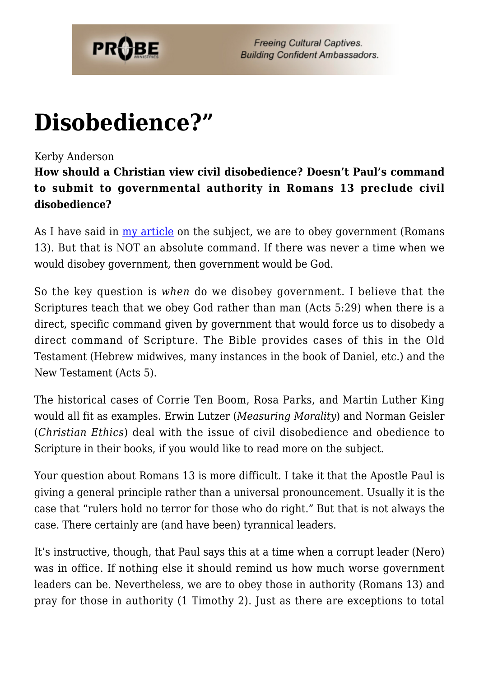

## **[Disobedience?"](https://probe.org/how-should-a-christian-view-civil-disobedience/)**

#### Kerby Anderson

**How should a Christian view civil disobedience? Doesn't Paul's command to submit to governmental authority in Romans 13 preclude civil disobedience?**

As I have said in  $\frac{my}{m}$  article on the subject, we are to obey government (Romans 13). But that is NOT an absolute command. If there was never a time when we would disobey government, then government would be God.

So the key question is *when* do we disobey government. I believe that the Scriptures teach that we obey God rather than man (Acts 5:29) when there is a direct, specific command given by government that would force us to disobedy a direct command of Scripture. The Bible provides cases of this in the Old Testament (Hebrew midwives, many instances in the book of Daniel, etc.) and the New Testament (Acts 5).

The historical cases of Corrie Ten Boom, Rosa Parks, and Martin Luther King would all fit as examples. Erwin Lutzer (*Measuring Morality*) and Norman Geisler (*Christian Ethics*) deal with the issue of civil disobedience and obedience to Scripture in their books, if you would like to read more on the subject.

Your question about Romans 13 is more difficult. I take it that the Apostle Paul is giving a general principle rather than a universal pronouncement. Usually it is the case that "rulers hold no terror for those who do right." But that is not always the case. There certainly are (and have been) tyrannical leaders.

It's instructive, though, that Paul says this at a time when a corrupt leader (Nero) was in office. If nothing else it should remind us how much worse government leaders can be. Nevertheless, we are to obey those in authority (Romans 13) and pray for those in authority (1 Timothy 2). Just as there are exceptions to total